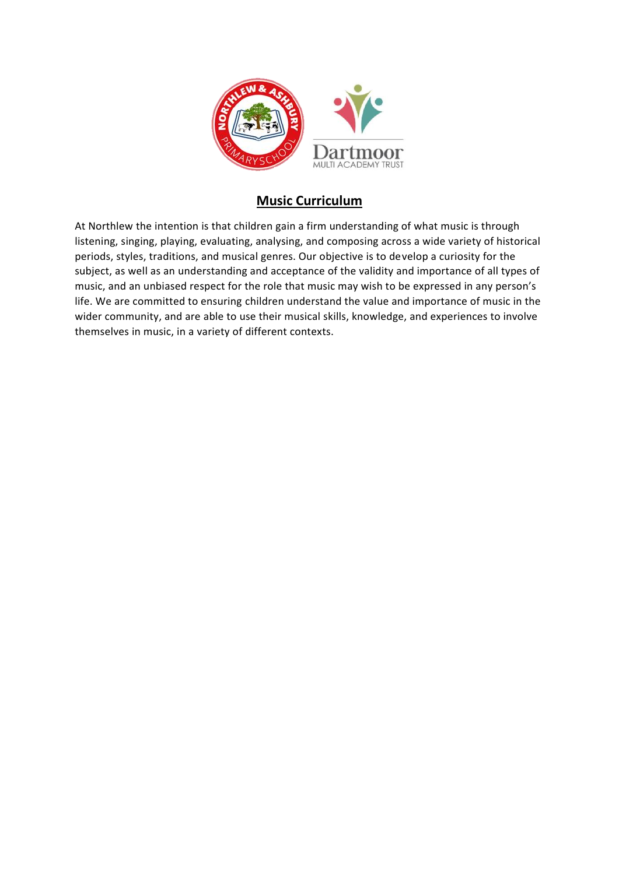

## **Music Curriculum**

At Northlew the intention is that children gain a firm understanding of what music is through listening, singing, playing, evaluating, analysing, and composing across a wide variety of historical periods, styles, traditions, and musical genres. Our objective is to develop a curiosity for the subject, as well as an understanding and acceptance of the validity and importance of all types of music, and an unbiased respect for the role that music may wish to be expressed in any person's life. We are committed to ensuring children understand the value and importance of music in the wider community, and are able to use their musical skills, knowledge, and experiences to involve themselves in music, in a variety of different contexts.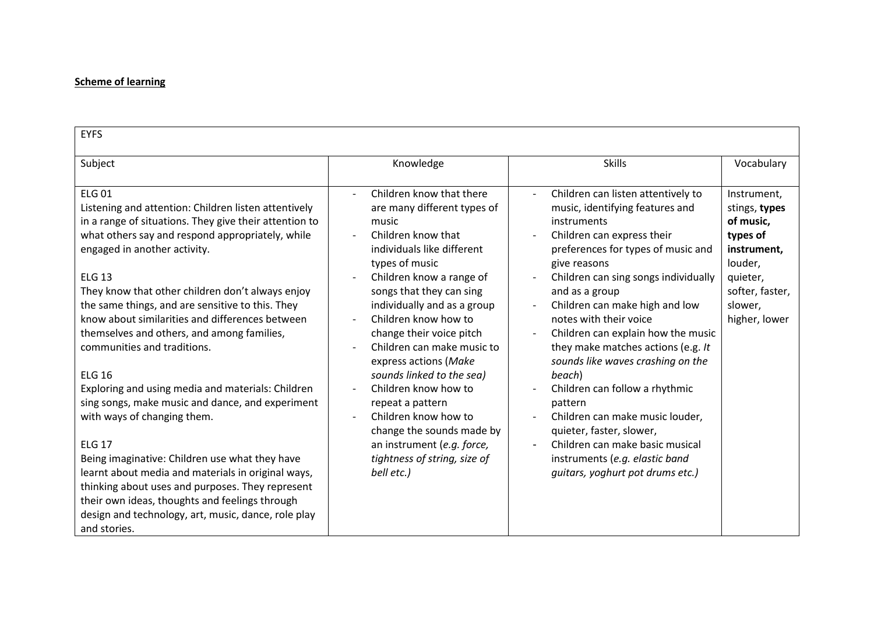## **Scheme of learning**

| <b>EYFS</b>                                                                                                                                                                                                                                                                                                                                                                                                                                                                                                                                                                                                                                                                                                                                                                                                                                                                                                                                 |                                                                                                                                                                                                                                                                                                                                                                                                                                                                                                                                                              |                                                                                                                                                                                                                                                                                                                                                                                                                                                                                                                                                                                                                                                |                                                                                                                                            |
|---------------------------------------------------------------------------------------------------------------------------------------------------------------------------------------------------------------------------------------------------------------------------------------------------------------------------------------------------------------------------------------------------------------------------------------------------------------------------------------------------------------------------------------------------------------------------------------------------------------------------------------------------------------------------------------------------------------------------------------------------------------------------------------------------------------------------------------------------------------------------------------------------------------------------------------------|--------------------------------------------------------------------------------------------------------------------------------------------------------------------------------------------------------------------------------------------------------------------------------------------------------------------------------------------------------------------------------------------------------------------------------------------------------------------------------------------------------------------------------------------------------------|------------------------------------------------------------------------------------------------------------------------------------------------------------------------------------------------------------------------------------------------------------------------------------------------------------------------------------------------------------------------------------------------------------------------------------------------------------------------------------------------------------------------------------------------------------------------------------------------------------------------------------------------|--------------------------------------------------------------------------------------------------------------------------------------------|
| Subject                                                                                                                                                                                                                                                                                                                                                                                                                                                                                                                                                                                                                                                                                                                                                                                                                                                                                                                                     | Knowledge                                                                                                                                                                                                                                                                                                                                                                                                                                                                                                                                                    | <b>Skills</b>                                                                                                                                                                                                                                                                                                                                                                                                                                                                                                                                                                                                                                  | Vocabulary                                                                                                                                 |
| <b>ELG 01</b><br>Listening and attention: Children listen attentively<br>in a range of situations. They give their attention to<br>what others say and respond appropriately, while<br>engaged in another activity.<br><b>ELG 13</b><br>They know that other children don't always enjoy<br>the same things, and are sensitive to this. They<br>know about similarities and differences between<br>themselves and others, and among families,<br>communities and traditions.<br><b>ELG 16</b><br>Exploring and using media and materials: Children<br>sing songs, make music and dance, and experiment<br>with ways of changing them.<br><b>ELG 17</b><br>Being imaginative: Children use what they have<br>learnt about media and materials in original ways,<br>thinking about uses and purposes. They represent<br>their own ideas, thoughts and feelings through<br>design and technology, art, music, dance, role play<br>and stories. | Children know that there<br>$\sim$<br>are many different types of<br>music<br>Children know that<br>individuals like different<br>types of music<br>Children know a range of<br>songs that they can sing<br>individually and as a group<br>Children know how to<br>change their voice pitch<br>Children can make music to<br>express actions (Make<br>sounds linked to the sea)<br>Children know how to<br>repeat a pattern<br>Children know how to<br>change the sounds made by<br>an instrument (e.g. force,<br>tightness of string, size of<br>bell etc.) | Children can listen attentively to<br>music, identifying features and<br>instruments<br>Children can express their<br>preferences for types of music and<br>give reasons<br>Children can sing songs individually<br>and as a group<br>Children can make high and low<br>notes with their voice<br>Children can explain how the music<br>they make matches actions (e.g. It<br>sounds like waves crashing on the<br>beach)<br>Children can follow a rhythmic<br>pattern<br>Children can make music louder,<br>quieter, faster, slower,<br>Children can make basic musical<br>instruments (e.g. elastic band<br>quitars, yoghurt pot drums etc.) | Instrument,<br>stings, types<br>of music,<br>types of<br>instrument,<br>louder,<br>quieter,<br>softer, faster,<br>slower,<br>higher, lower |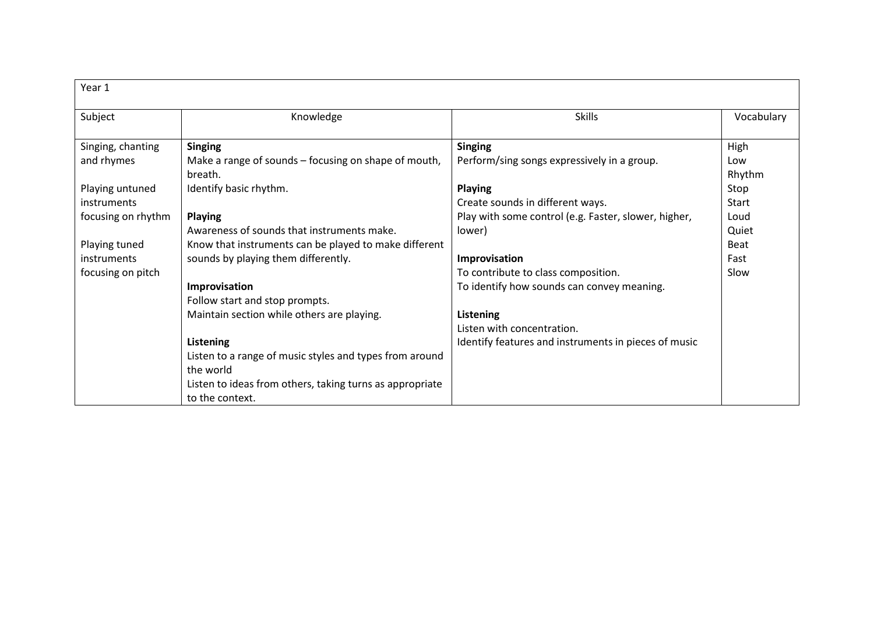| Year 1             |                                                                 |                                                      |               |
|--------------------|-----------------------------------------------------------------|------------------------------------------------------|---------------|
| Subject            | Knowledge                                                       | <b>Skills</b>                                        | Vocabulary    |
| Singing, chanting  | <b>Singing</b>                                                  | <b>Singing</b>                                       | High          |
| and rhymes         | Make a range of sounds – focusing on shape of mouth,<br>breath. | Perform/sing songs expressively in a group.          | Low<br>Rhythm |
| Playing untuned    | Identify basic rhythm.                                          | <b>Playing</b>                                       | Stop          |
| instruments        |                                                                 | Create sounds in different ways.                     | <b>Start</b>  |
| focusing on rhythm | <b>Playing</b>                                                  | Play with some control (e.g. Faster, slower, higher, | Loud          |
|                    | Awareness of sounds that instruments make.                      | lower)                                               | Quiet         |
| Playing tuned      | Know that instruments can be played to make different           |                                                      | <b>Beat</b>   |
| instruments        | sounds by playing them differently.                             | Improvisation                                        | Fast          |
| focusing on pitch  |                                                                 | To contribute to class composition.                  | Slow          |
|                    | Improvisation                                                   | To identify how sounds can convey meaning.           |               |
|                    | Follow start and stop prompts.                                  |                                                      |               |
|                    | Maintain section while others are playing.                      | Listening                                            |               |
|                    |                                                                 | Listen with concentration.                           |               |
|                    | Listening                                                       | Identify features and instruments in pieces of music |               |
|                    | Listen to a range of music styles and types from around         |                                                      |               |
|                    | the world                                                       |                                                      |               |
|                    | Listen to ideas from others, taking turns as appropriate        |                                                      |               |
|                    | to the context.                                                 |                                                      |               |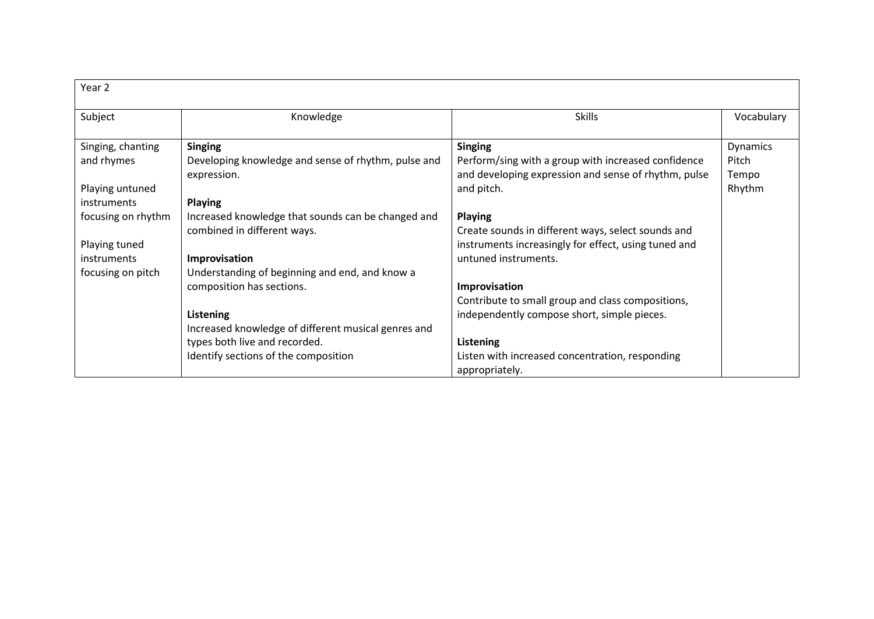| Year 2             |                                                     |                                                      |            |
|--------------------|-----------------------------------------------------|------------------------------------------------------|------------|
| Subject            | Knowledge                                           | <b>Skills</b>                                        | Vocabulary |
| Singing, chanting  | <b>Singing</b>                                      | <b>Singing</b>                                       | Dynamics   |
| and rhymes         | Developing knowledge and sense of rhythm, pulse and | Perform/sing with a group with increased confidence  | Pitch      |
|                    | expression.                                         | and developing expression and sense of rhythm, pulse | Tempo      |
| Playing untuned    |                                                     | and pitch.                                           | Rhythm     |
| <i>instruments</i> | <b>Playing</b>                                      |                                                      |            |
| focusing on rhythm | Increased knowledge that sounds can be changed and  | <b>Playing</b>                                       |            |
|                    | combined in different ways.                         | Create sounds in different ways, select sounds and   |            |
| Playing tuned      |                                                     | instruments increasingly for effect, using tuned and |            |
| instruments        | Improvisation                                       | untuned instruments.                                 |            |
| focusing on pitch  | Understanding of beginning and end, and know a      |                                                      |            |
|                    | composition has sections.                           | Improvisation                                        |            |
|                    |                                                     | Contribute to small group and class compositions,    |            |
|                    | Listening                                           | independently compose short, simple pieces.          |            |
|                    | Increased knowledge of different musical genres and |                                                      |            |
|                    | types both live and recorded.                       | Listening                                            |            |
|                    | Identify sections of the composition                | Listen with increased concentration, responding      |            |
|                    |                                                     | appropriately.                                       |            |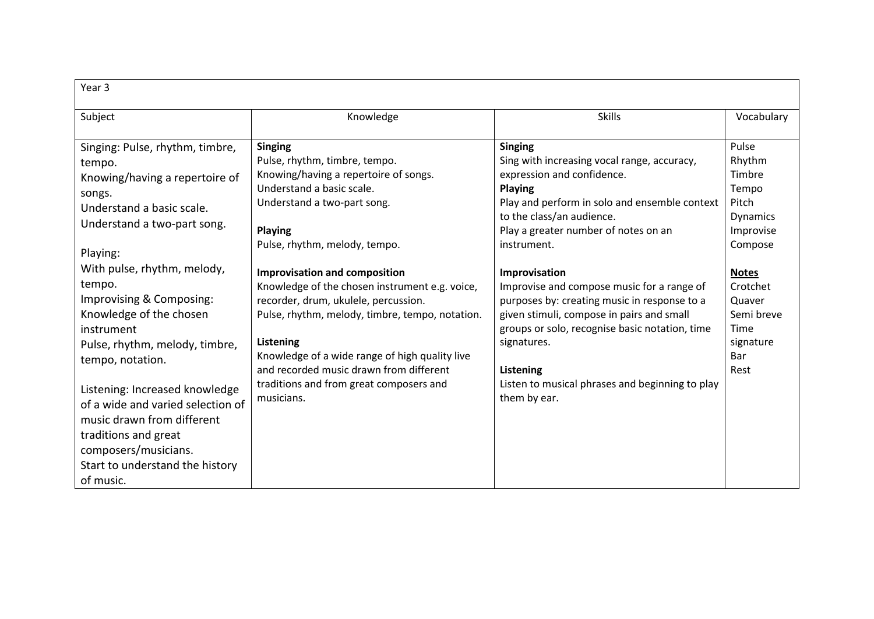| Year <sub>3</sub>                                                                                                                                                                                                                                                                                                                                                                                                                                                                                                         |                                                                                                                                                                                                                                                                                                                                                                                                                                                                                                                                                                 |                                                                                                                                                                                                                                                                                                                                                                                                                                                                                                                                                          |                                                                                                                                                                                |  |  |
|---------------------------------------------------------------------------------------------------------------------------------------------------------------------------------------------------------------------------------------------------------------------------------------------------------------------------------------------------------------------------------------------------------------------------------------------------------------------------------------------------------------------------|-----------------------------------------------------------------------------------------------------------------------------------------------------------------------------------------------------------------------------------------------------------------------------------------------------------------------------------------------------------------------------------------------------------------------------------------------------------------------------------------------------------------------------------------------------------------|----------------------------------------------------------------------------------------------------------------------------------------------------------------------------------------------------------------------------------------------------------------------------------------------------------------------------------------------------------------------------------------------------------------------------------------------------------------------------------------------------------------------------------------------------------|--------------------------------------------------------------------------------------------------------------------------------------------------------------------------------|--|--|
| Subject                                                                                                                                                                                                                                                                                                                                                                                                                                                                                                                   | Knowledge                                                                                                                                                                                                                                                                                                                                                                                                                                                                                                                                                       | <b>Skills</b>                                                                                                                                                                                                                                                                                                                                                                                                                                                                                                                                            | Vocabulary                                                                                                                                                                     |  |  |
| Singing: Pulse, rhythm, timbre,<br>tempo.<br>Knowing/having a repertoire of<br>songs.<br>Understand a basic scale.<br>Understand a two-part song.<br>Playing:<br>With pulse, rhythm, melody,<br>tempo.<br>Improvising & Composing:<br>Knowledge of the chosen<br>instrument<br>Pulse, rhythm, melody, timbre,<br>tempo, notation.<br>Listening: Increased knowledge<br>of a wide and varied selection of<br>music drawn from different<br>traditions and great<br>composers/musicians.<br>Start to understand the history | <b>Singing</b><br>Pulse, rhythm, timbre, tempo.<br>Knowing/having a repertoire of songs.<br>Understand a basic scale.<br>Understand a two-part song.<br><b>Playing</b><br>Pulse, rhythm, melody, tempo.<br><b>Improvisation and composition</b><br>Knowledge of the chosen instrument e.g. voice,<br>recorder, drum, ukulele, percussion.<br>Pulse, rhythm, melody, timbre, tempo, notation.<br>Listening<br>Knowledge of a wide range of high quality live<br>and recorded music drawn from different<br>traditions and from great composers and<br>musicians. | <b>Singing</b><br>Sing with increasing vocal range, accuracy,<br>expression and confidence.<br>Playing<br>Play and perform in solo and ensemble context<br>to the class/an audience.<br>Play a greater number of notes on an<br>instrument.<br>Improvisation<br>Improvise and compose music for a range of<br>purposes by: creating music in response to a<br>given stimuli, compose in pairs and small<br>groups or solo, recognise basic notation, time<br>signatures.<br>Listening<br>Listen to musical phrases and beginning to play<br>them by ear. | Pulse<br>Rhythm<br>Timbre<br>Tempo<br>Pitch<br><b>Dynamics</b><br>Improvise<br>Compose<br><b>Notes</b><br>Crotchet<br>Quaver<br>Semi breve<br>Time<br>signature<br>Bar<br>Rest |  |  |
| of music.                                                                                                                                                                                                                                                                                                                                                                                                                                                                                                                 |                                                                                                                                                                                                                                                                                                                                                                                                                                                                                                                                                                 |                                                                                                                                                                                                                                                                                                                                                                                                                                                                                                                                                          |                                                                                                                                                                                |  |  |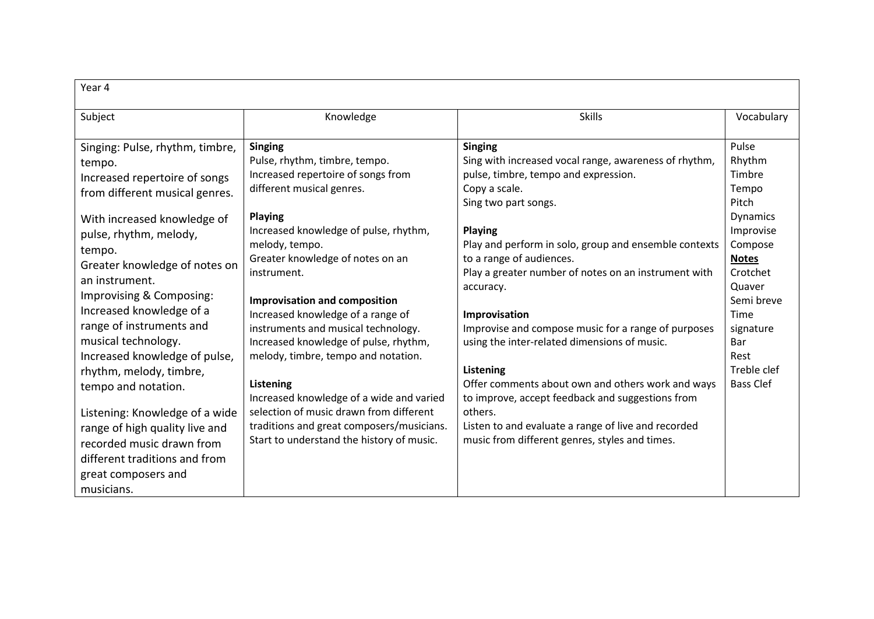| Year 4                                                                                                                                                                                                                                                                                                                                                                                                                                                                                                                                                                                    |                                                                                                                                                                                                                                                                                                                                                                                                                                                                                                                                                                                                                                                      |                                                                                                                                                                                                                                                                                                                                                                                                                                                                                                                                                                                                                                                                                                        |                                                                                                                                                                                                                          |
|-------------------------------------------------------------------------------------------------------------------------------------------------------------------------------------------------------------------------------------------------------------------------------------------------------------------------------------------------------------------------------------------------------------------------------------------------------------------------------------------------------------------------------------------------------------------------------------------|------------------------------------------------------------------------------------------------------------------------------------------------------------------------------------------------------------------------------------------------------------------------------------------------------------------------------------------------------------------------------------------------------------------------------------------------------------------------------------------------------------------------------------------------------------------------------------------------------------------------------------------------------|--------------------------------------------------------------------------------------------------------------------------------------------------------------------------------------------------------------------------------------------------------------------------------------------------------------------------------------------------------------------------------------------------------------------------------------------------------------------------------------------------------------------------------------------------------------------------------------------------------------------------------------------------------------------------------------------------------|--------------------------------------------------------------------------------------------------------------------------------------------------------------------------------------------------------------------------|
| Subject                                                                                                                                                                                                                                                                                                                                                                                                                                                                                                                                                                                   | Knowledge                                                                                                                                                                                                                                                                                                                                                                                                                                                                                                                                                                                                                                            | <b>Skills</b>                                                                                                                                                                                                                                                                                                                                                                                                                                                                                                                                                                                                                                                                                          | Vocabulary                                                                                                                                                                                                               |
| Singing: Pulse, rhythm, timbre,<br>tempo.<br>Increased repertoire of songs<br>from different musical genres.<br>With increased knowledge of<br>pulse, rhythm, melody,<br>tempo.<br>Greater knowledge of notes on<br>an instrument.<br>Improvising & Composing:<br>Increased knowledge of a<br>range of instruments and<br>musical technology.<br>Increased knowledge of pulse,<br>rhythm, melody, timbre,<br>tempo and notation.<br>Listening: Knowledge of a wide<br>range of high quality live and<br>recorded music drawn from<br>different traditions and from<br>great composers and | <b>Singing</b><br>Pulse, rhythm, timbre, tempo.<br>Increased repertoire of songs from<br>different musical genres.<br><b>Playing</b><br>Increased knowledge of pulse, rhythm,<br>melody, tempo.<br>Greater knowledge of notes on an<br>instrument.<br><b>Improvisation and composition</b><br>Increased knowledge of a range of<br>instruments and musical technology.<br>Increased knowledge of pulse, rhythm,<br>melody, timbre, tempo and notation.<br>Listening<br>Increased knowledge of a wide and varied<br>selection of music drawn from different<br>traditions and great composers/musicians.<br>Start to understand the history of music. | <b>Singing</b><br>Sing with increased vocal range, awareness of rhythm,<br>pulse, timbre, tempo and expression.<br>Copy a scale.<br>Sing two part songs.<br><b>Playing</b><br>Play and perform in solo, group and ensemble contexts<br>to a range of audiences.<br>Play a greater number of notes on an instrument with<br>accuracy.<br>Improvisation<br>Improvise and compose music for a range of purposes<br>using the inter-related dimensions of music.<br>Listening<br>Offer comments about own and others work and ways<br>to improve, accept feedback and suggestions from<br>others.<br>Listen to and evaluate a range of live and recorded<br>music from different genres, styles and times. | Pulse<br>Rhythm<br>Timbre<br>Tempo<br>Pitch<br><b>Dynamics</b><br>Improvise<br>Compose<br><b>Notes</b><br>Crotchet<br>Quaver<br>Semi breve<br>Time<br>signature<br><b>Bar</b><br>Rest<br>Treble clef<br><b>Bass Clef</b> |
| musicians.                                                                                                                                                                                                                                                                                                                                                                                                                                                                                                                                                                                |                                                                                                                                                                                                                                                                                                                                                                                                                                                                                                                                                                                                                                                      |                                                                                                                                                                                                                                                                                                                                                                                                                                                                                                                                                                                                                                                                                                        |                                                                                                                                                                                                                          |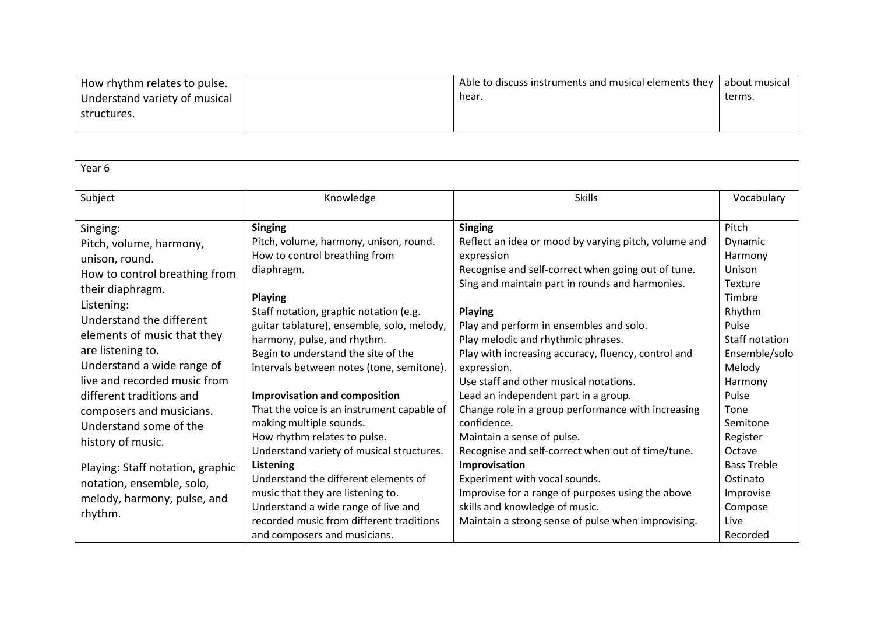| How rhythm relates to pulse.  | Able to discuss instruments and musical elements they | l about musical |
|-------------------------------|-------------------------------------------------------|-----------------|
| Understand variety of musical | hear.                                                 | terms.          |
| structures.                   |                                                       |                 |
|                               |                                                       |                 |

| Year 6                                                                                                                                                                                                                                                                                                                                                                        |                                                                                                                                                                                                                                                                                                                                                                                                                                                                                                                             |                                                                                                                                                                                                                                                                                                                                                                                                                                                                                                                                                                                                                  |                                                                                                                                                                                          |
|-------------------------------------------------------------------------------------------------------------------------------------------------------------------------------------------------------------------------------------------------------------------------------------------------------------------------------------------------------------------------------|-----------------------------------------------------------------------------------------------------------------------------------------------------------------------------------------------------------------------------------------------------------------------------------------------------------------------------------------------------------------------------------------------------------------------------------------------------------------------------------------------------------------------------|------------------------------------------------------------------------------------------------------------------------------------------------------------------------------------------------------------------------------------------------------------------------------------------------------------------------------------------------------------------------------------------------------------------------------------------------------------------------------------------------------------------------------------------------------------------------------------------------------------------|------------------------------------------------------------------------------------------------------------------------------------------------------------------------------------------|
|                                                                                                                                                                                                                                                                                                                                                                               |                                                                                                                                                                                                                                                                                                                                                                                                                                                                                                                             |                                                                                                                                                                                                                                                                                                                                                                                                                                                                                                                                                                                                                  |                                                                                                                                                                                          |
| Subject                                                                                                                                                                                                                                                                                                                                                                       | Knowledge                                                                                                                                                                                                                                                                                                                                                                                                                                                                                                                   | <b>Skills</b>                                                                                                                                                                                                                                                                                                                                                                                                                                                                                                                                                                                                    | Vocabulary                                                                                                                                                                               |
| Singing:<br>Pitch, volume, harmony,<br>unison, round.<br>How to control breathing from<br>their diaphragm.<br>Listening:<br>Understand the different<br>elements of music that they<br>are listening to.<br>Understand a wide range of<br>live and recorded music from<br>different traditions and<br>composers and musicians.<br>Understand some of the<br>history of music. | <b>Singing</b><br>Pitch, volume, harmony, unison, round.<br>How to control breathing from<br>diaphragm.<br><b>Playing</b><br>Staff notation, graphic notation (e.g.<br>guitar tablature), ensemble, solo, melody,<br>harmony, pulse, and rhythm.<br>Begin to understand the site of the<br>intervals between notes (tone, semitone).<br>Improvisation and composition<br>That the voice is an instrument capable of<br>making multiple sounds.<br>How rhythm relates to pulse.<br>Understand variety of musical structures. | <b>Singing</b><br>Reflect an idea or mood by varying pitch, volume and<br>expression<br>Recognise and self-correct when going out of tune.<br>Sing and maintain part in rounds and harmonies.<br><b>Playing</b><br>Play and perform in ensembles and solo.<br>Play melodic and rhythmic phrases.<br>Play with increasing accuracy, fluency, control and<br>expression.<br>Use staff and other musical notations.<br>Lead an independent part in a group.<br>Change role in a group performance with increasing<br>confidence.<br>Maintain a sense of pulse.<br>Recognise and self-correct when out of time/tune. | Pitch<br>Dynamic<br>Harmony<br>Unison<br>Texture<br>Timbre<br>Rhythm<br>Pulse<br>Staff notation<br>Ensemble/solo<br>Melody<br>Harmony<br>Pulse<br>Tone<br>Semitone<br>Register<br>Octave |
| Playing: Staff notation, graphic<br>notation, ensemble, solo,<br>melody, harmony, pulse, and<br>rhythm.                                                                                                                                                                                                                                                                       | Listening<br>Understand the different elements of<br>music that they are listening to.<br>Understand a wide range of live and<br>recorded music from different traditions<br>and composers and musicians.                                                                                                                                                                                                                                                                                                                   | Improvisation<br>Experiment with vocal sounds.<br>Improvise for a range of purposes using the above<br>skills and knowledge of music.<br>Maintain a strong sense of pulse when improvising.                                                                                                                                                                                                                                                                                                                                                                                                                      | <b>Bass Treble</b><br>Ostinato<br>Improvise<br>Compose<br>Live<br>Recorded                                                                                                               |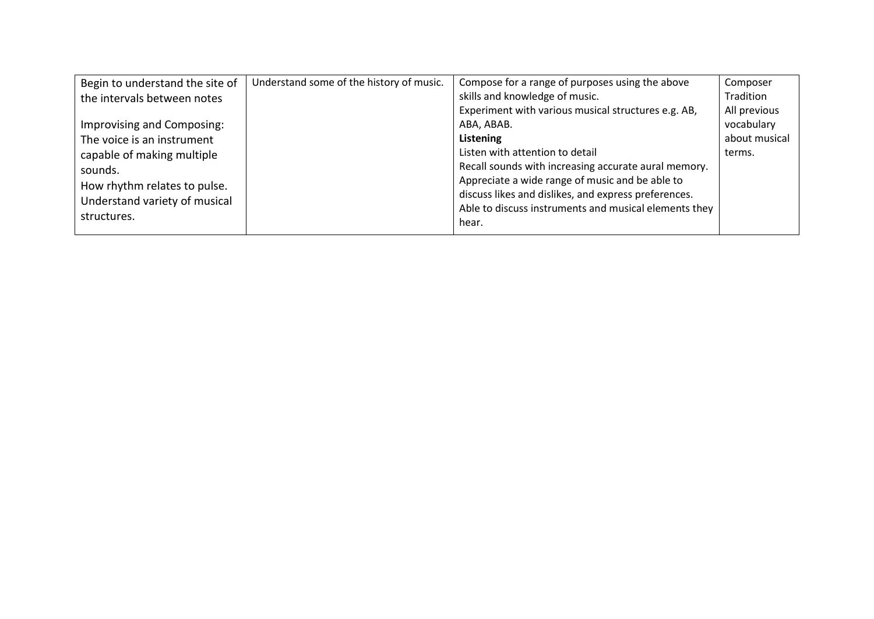| Begin to understand the site of | Understand some of the history of music. | Compose for a range of purposes using the above       | Composer      |
|---------------------------------|------------------------------------------|-------------------------------------------------------|---------------|
| the intervals between notes     |                                          | skills and knowledge of music.                        | Tradition     |
|                                 |                                          | Experiment with various musical structures e.g. AB,   | All previous  |
| Improvising and Composing:      |                                          | ABA, ABAB.                                            | vocabulary    |
| The voice is an instrument      |                                          | Listening                                             | about musical |
| capable of making multiple      |                                          | Listen with attention to detail                       | terms.        |
| sounds.                         |                                          | Recall sounds with increasing accurate aural memory.  |               |
| How rhythm relates to pulse.    |                                          | Appreciate a wide range of music and be able to       |               |
| Understand variety of musical   |                                          | discuss likes and dislikes, and express preferences.  |               |
| structures.                     |                                          | Able to discuss instruments and musical elements they |               |
|                                 |                                          | hear.                                                 |               |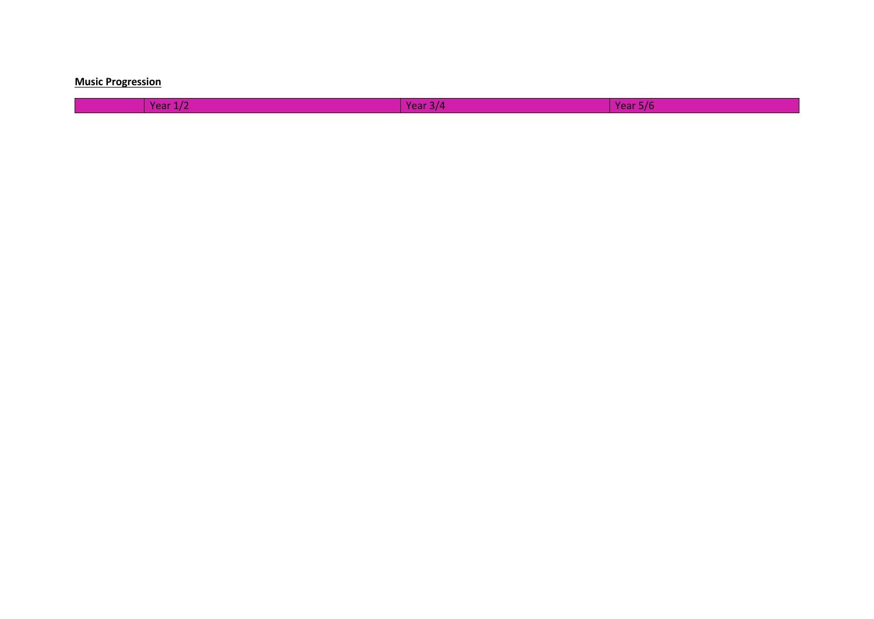## **Music Progression**

Year 1/2 Year 3/4 Year 5/6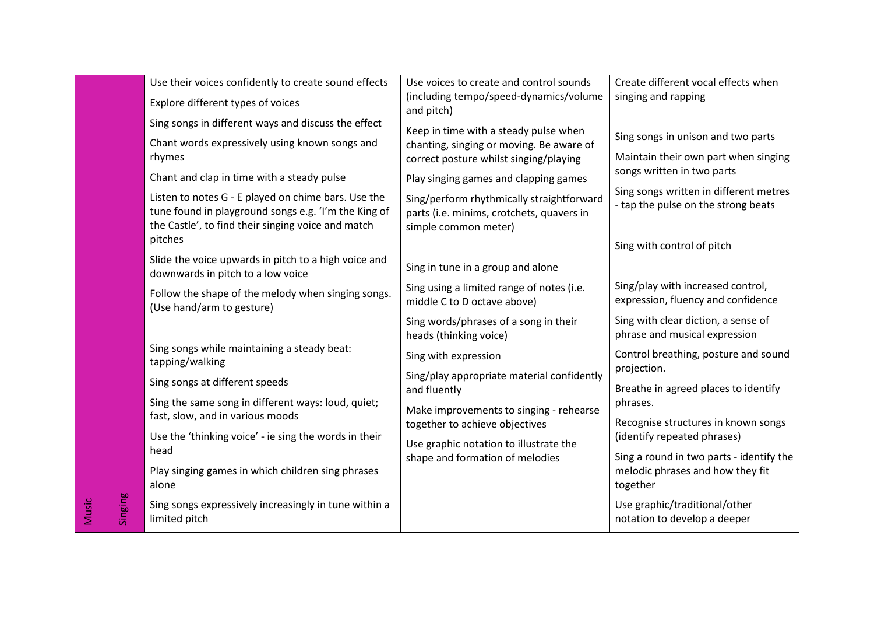|        |         | Use their voices confidently to create sound effects                                                        | Use voices to create and control sounds                                                | Create different vocal effects when                                                      |
|--------|---------|-------------------------------------------------------------------------------------------------------------|----------------------------------------------------------------------------------------|------------------------------------------------------------------------------------------|
|        |         | Explore different types of voices                                                                           | (including tempo/speed-dynamics/volume<br>and pitch)                                   | singing and rapping                                                                      |
|        |         | Sing songs in different ways and discuss the effect                                                         | Keep in time with a steady pulse when                                                  |                                                                                          |
|        |         | Chant words expressively using known songs and                                                              | chanting, singing or moving. Be aware of                                               | Sing songs in unison and two parts                                                       |
|        |         | rhymes                                                                                                      | correct posture whilst singing/playing                                                 | Maintain their own part when singing                                                     |
|        |         | Chant and clap in time with a steady pulse                                                                  | Play singing games and clapping games                                                  | songs written in two parts                                                               |
|        |         | Listen to notes G - E played on chime bars. Use the<br>tune found in playground songs e.g. 'I'm the King of | Sing/perform rhythmically straightforward<br>parts (i.e. minims, crotchets, quavers in | Sing songs written in different metres<br>- tap the pulse on the strong beats            |
|        |         | the Castle', to find their singing voice and match                                                          | simple common meter)                                                                   |                                                                                          |
|        |         | pitches                                                                                                     |                                                                                        | Sing with control of pitch                                                               |
|        |         | Slide the voice upwards in pitch to a high voice and<br>downwards in pitch to a low voice                   | Sing in tune in a group and alone                                                      |                                                                                          |
|        |         | Follow the shape of the melody when singing songs.<br>(Use hand/arm to gesture)                             | Sing using a limited range of notes (i.e.<br>middle C to D octave above)               | Sing/play with increased control,<br>expression, fluency and confidence                  |
|        |         |                                                                                                             | Sing words/phrases of a song in their<br>heads (thinking voice)                        | Sing with clear diction, a sense of<br>phrase and musical expression                     |
|        |         | Sing songs while maintaining a steady beat:<br>tapping/walking                                              | Sing with expression                                                                   | Control breathing, posture and sound<br>projection.                                      |
|        |         | Sing songs at different speeds                                                                              | Sing/play appropriate material confidently<br>and fluently                             | Breathe in agreed places to identify                                                     |
|        |         | Sing the same song in different ways: loud, quiet;<br>fast, slow, and in various moods                      | Make improvements to singing - rehearse                                                | phrases.                                                                                 |
|        |         | Use the 'thinking voice' - ie sing the words in their                                                       | together to achieve objectives                                                         | Recognise structures in known songs<br>(identify repeated phrases)                       |
|        |         | head                                                                                                        | Use graphic notation to illustrate the                                                 |                                                                                          |
|        |         | Play singing games in which children sing phrases<br>alone                                                  | shape and formation of melodies                                                        | Sing a round in two parts - identify the<br>melodic phrases and how they fit<br>together |
| Vlusic | Singing | Sing songs expressively increasingly in tune within a<br>limited pitch                                      |                                                                                        | Use graphic/traditional/other<br>notation to develop a deeper                            |
|        |         |                                                                                                             |                                                                                        |                                                                                          |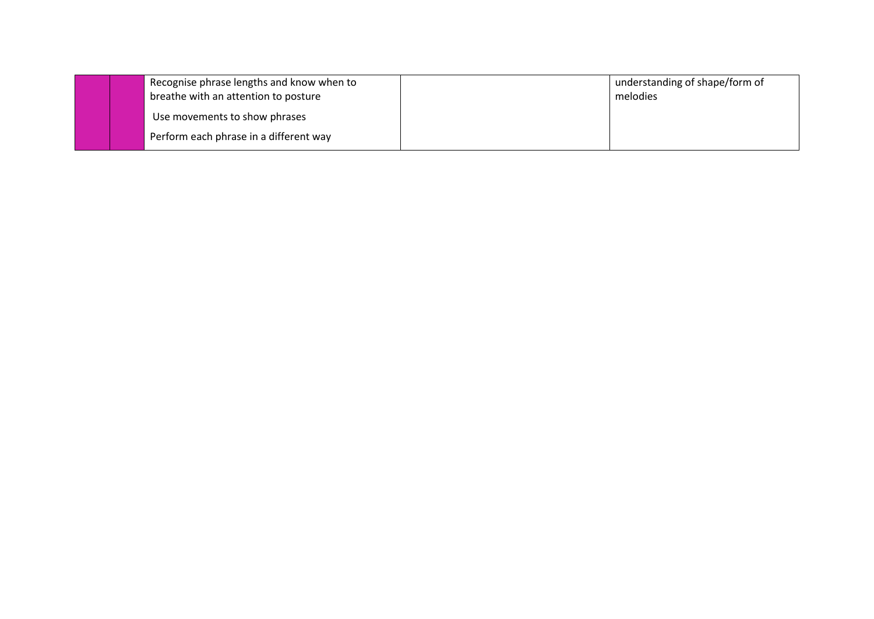|  | Recognise phrase lengths and know when to<br>breathe with an attention to posture | understanding of shape/form of<br>melodies |
|--|-----------------------------------------------------------------------------------|--------------------------------------------|
|  | Use movements to show phrases                                                     |                                            |
|  | Perform each phrase in a different way                                            |                                            |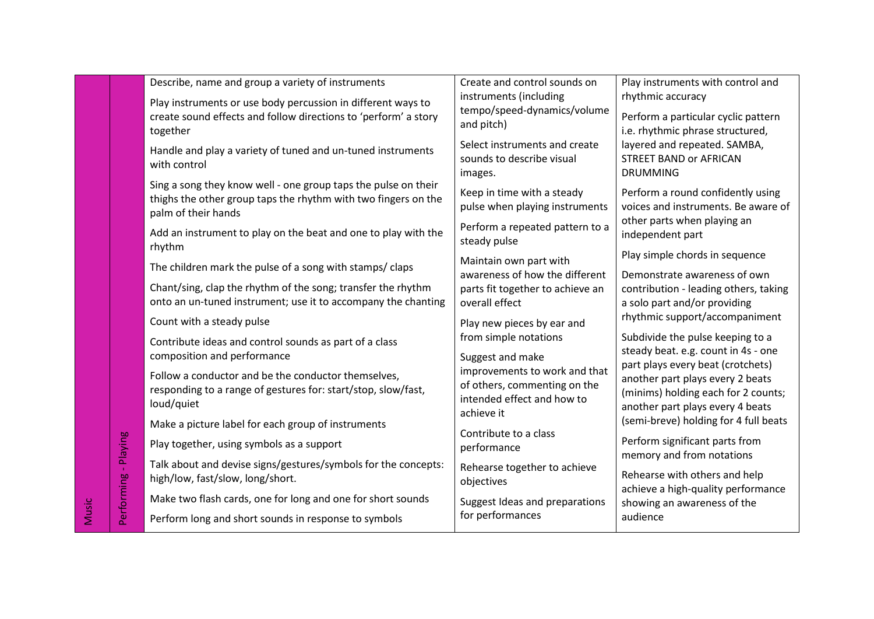|                      | Describe, name and group a variety of instruments                                                                                | Create and control sounds on                                       | Play instruments with control and                                       |
|----------------------|----------------------------------------------------------------------------------------------------------------------------------|--------------------------------------------------------------------|-------------------------------------------------------------------------|
|                      | Play instruments or use body percussion in different ways to                                                                     | instruments (including<br>tempo/speed-dynamics/volume              | rhythmic accuracy                                                       |
|                      | create sound effects and follow directions to 'perform' a story                                                                  | and pitch)                                                         | Perform a particular cyclic pattern<br>i.e. rhythmic phrase structured, |
|                      | together                                                                                                                         | Select instruments and create                                      | layered and repeated. SAMBA,                                            |
|                      | Handle and play a variety of tuned and un-tuned instruments<br>with control                                                      | sounds to describe visual                                          | <b>STREET BAND or AFRICAN</b>                                           |
|                      |                                                                                                                                  | images.                                                            | <b>DRUMMING</b>                                                         |
|                      | Sing a song they know well - one group taps the pulse on their<br>thighs the other group taps the rhythm with two fingers on the | Keep in time with a steady                                         | Perform a round confidently using                                       |
|                      | palm of their hands                                                                                                              | pulse when playing instruments                                     | voices and instruments. Be aware of                                     |
|                      | Add an instrument to play on the beat and one to play with the                                                                   | Perform a repeated pattern to a                                    | other parts when playing an<br>independent part                         |
|                      | rhythm                                                                                                                           | steady pulse                                                       | Play simple chords in sequence                                          |
|                      | The children mark the pulse of a song with stamps/claps                                                                          | Maintain own part with                                             |                                                                         |
|                      | Chant/sing, clap the rhythm of the song; transfer the rhythm                                                                     | awareness of how the different<br>parts fit together to achieve an | Demonstrate awareness of own<br>contribution - leading others, taking   |
|                      | onto an un-tuned instrument; use it to accompany the chanting                                                                    | overall effect                                                     | a solo part and/or providing                                            |
|                      | Count with a steady pulse                                                                                                        | Play new pieces by ear and                                         | rhythmic support/accompaniment                                          |
|                      | Contribute ideas and control sounds as part of a class                                                                           | from simple notations                                              | Subdivide the pulse keeping to a                                        |
|                      | composition and performance                                                                                                      | Suggest and make                                                   | steady beat. e.g. count in 4s - one                                     |
|                      | Follow a conductor and be the conductor themselves,                                                                              | improvements to work and that                                      | part plays every beat (crotchets)<br>another part plays every 2 beats   |
|                      | responding to a range of gestures for: start/stop, slow/fast,                                                                    | of others, commenting on the<br>intended effect and how to         | (minims) holding each for 2 counts;                                     |
|                      | loud/quiet                                                                                                                       | achieve it                                                         | another part plays every 4 beats                                        |
|                      | Make a picture label for each group of instruments                                                                               | Contribute to a class                                              | (semi-breve) holding for 4 full beats                                   |
|                      | Play together, using symbols as a support                                                                                        | performance                                                        | Perform significant parts from<br>memory and from notations             |
|                      | Talk about and devise signs/gestures/symbols for the concepts:                                                                   | Rehearse together to achieve                                       |                                                                         |
|                      | high/low, fast/slow, long/short.                                                                                                 | objectives                                                         | Rehearse with others and help<br>achieve a high-quality performance     |
| Performing - Playing | Make two flash cards, one for long and one for short sounds                                                                      | Suggest Ideas and preparations                                     | showing an awareness of the                                             |
|                      | Perform long and short sounds in response to symbols                                                                             | for performances                                                   | audience                                                                |

Music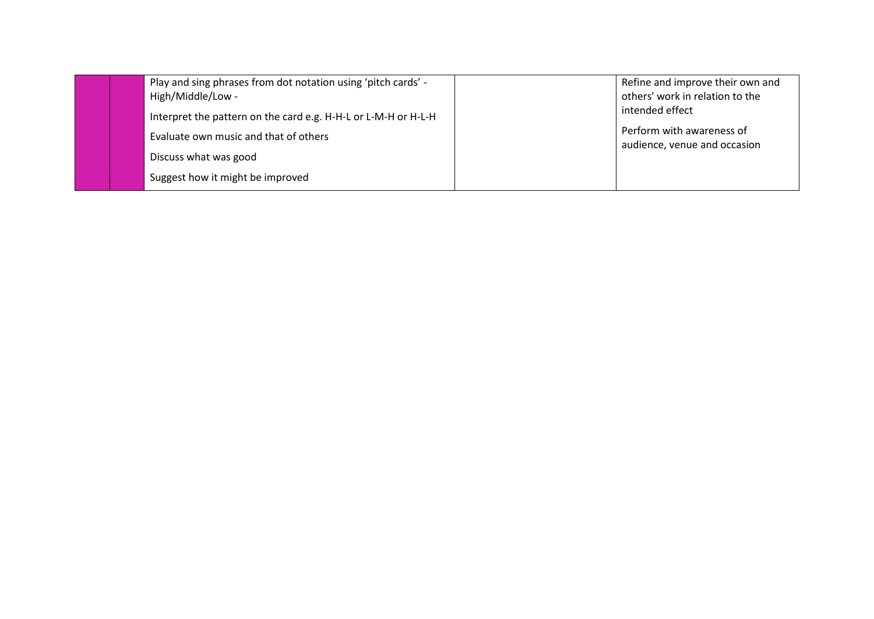|  | Play and sing phrases from dot notation using 'pitch cards' -<br>High/Middle/Low - | Refine and improve their own and<br>others' work in relation to the |
|--|------------------------------------------------------------------------------------|---------------------------------------------------------------------|
|  | Interpret the pattern on the card e.g. H-H-L or L-M-H or H-L-H                     | intended effect                                                     |
|  | Evaluate own music and that of others                                              | Perform with awareness of<br>audience, venue and occasion           |
|  | Discuss what was good                                                              |                                                                     |
|  | Suggest how it might be improved                                                   |                                                                     |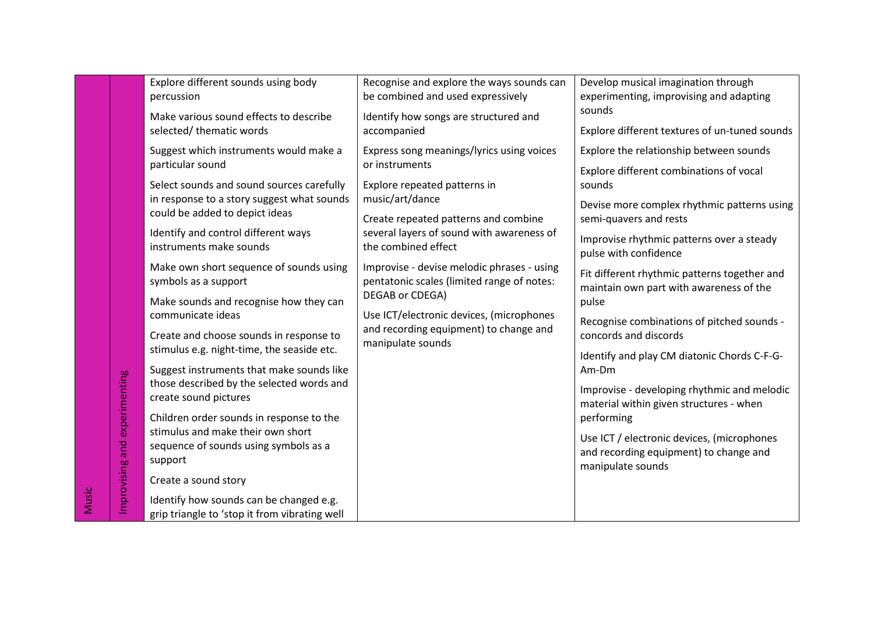|       |                 | Explore different sounds using body<br>percussion                                        | Recognise and explore the ways sounds can<br>be combined and used expressively                              | Develop musical imagination through<br>experimenting, improvising and adapting                            |
|-------|-----------------|------------------------------------------------------------------------------------------|-------------------------------------------------------------------------------------------------------------|-----------------------------------------------------------------------------------------------------------|
|       |                 | Make various sound effects to describe<br>selected/thematic words                        | Identify how songs are structured and<br>accompanied                                                        | sounds<br>Explore different textures of un-tuned sounds                                                   |
|       |                 | Suggest which instruments would make a<br>particular sound                               | Express song meanings/lyrics using voices<br>or instruments                                                 | Explore the relationship between sounds<br>Explore different combinations of vocal                        |
|       |                 | Select sounds and sound sources carefully                                                | Explore repeated patterns in                                                                                | sounds                                                                                                    |
|       |                 | in response to a story suggest what sounds<br>could be added to depict ideas             | music/art/dance<br>Create repeated patterns and combine                                                     | Devise more complex rhythmic patterns using<br>semi-quavers and rests                                     |
|       |                 | Identify and control different ways<br>instruments make sounds                           | several layers of sound with awareness of<br>the combined effect                                            | Improvise rhythmic patterns over a steady<br>pulse with confidence                                        |
|       |                 | Make own short sequence of sounds using<br>symbols as a support                          | Improvise - devise melodic phrases - using<br>pentatonic scales (limited range of notes:<br>DEGAB or CDEGA) | Fit different rhythmic patterns together and<br>maintain own part with awareness of the                   |
|       |                 | Make sounds and recognise how they can<br>communicate ideas                              | Use ICT/electronic devices, (microphones                                                                    | pulse                                                                                                     |
|       |                 | Create and choose sounds in response to                                                  | and recording equipment) to change and<br>manipulate sounds                                                 | Recognise combinations of pitched sounds -<br>concords and discords                                       |
|       | experimenting   | stimulus e.g. night-time, the seaside etc.<br>Suggest instruments that make sounds like  |                                                                                                             | Identify and play CM diatonic Chords C-F-G-<br>Am-Dm                                                      |
|       |                 | those described by the selected words and<br>create sound pictures                       |                                                                                                             | Improvise - developing rhythmic and melodic<br>material within given structures - when                    |
|       |                 | Children order sounds in response to the<br>stimulus and make their own short            |                                                                                                             | performing                                                                                                |
|       | Improvising and | sequence of sounds using symbols as a<br>support                                         |                                                                                                             | Use ICT / electronic devices, (microphones<br>and recording equipment) to change and<br>manipulate sounds |
|       |                 | Create a sound story                                                                     |                                                                                                             |                                                                                                           |
| Music |                 | Identify how sounds can be changed e.g.<br>grip triangle to 'stop it from vibrating well |                                                                                                             |                                                                                                           |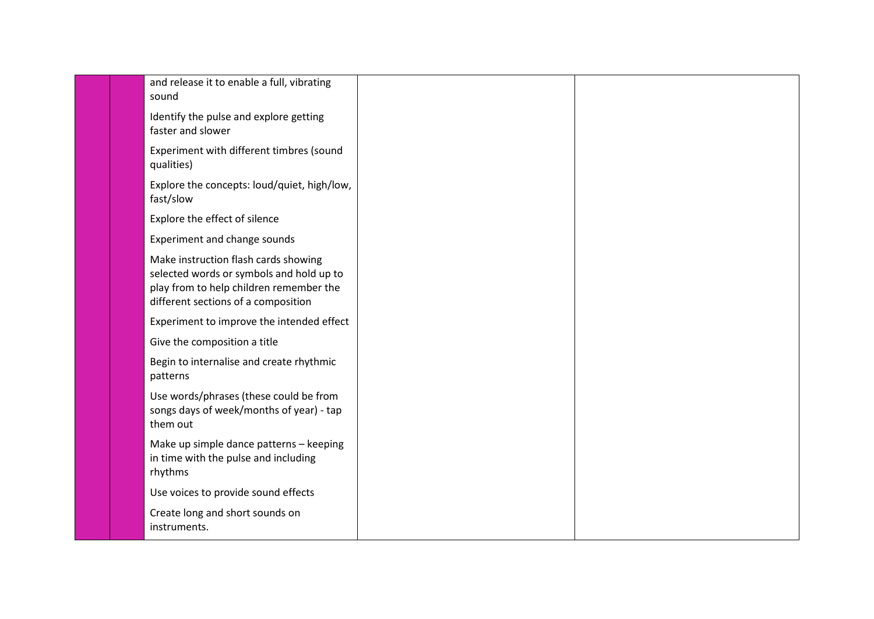|  | and release it to enable a full, vibrating<br>sound                                                                                                                |  |
|--|--------------------------------------------------------------------------------------------------------------------------------------------------------------------|--|
|  | Identify the pulse and explore getting<br>faster and slower                                                                                                        |  |
|  | Experiment with different timbres (sound<br>qualities)                                                                                                             |  |
|  | Explore the concepts: loud/quiet, high/low,<br>fast/slow                                                                                                           |  |
|  | Explore the effect of silence                                                                                                                                      |  |
|  | Experiment and change sounds                                                                                                                                       |  |
|  | Make instruction flash cards showing<br>selected words or symbols and hold up to<br>play from to help children remember the<br>different sections of a composition |  |
|  | Experiment to improve the intended effect                                                                                                                          |  |
|  | Give the composition a title                                                                                                                                       |  |
|  | Begin to internalise and create rhythmic<br>patterns                                                                                                               |  |
|  | Use words/phrases (these could be from<br>songs days of week/months of year) - tap<br>them out                                                                     |  |
|  | Make up simple dance patterns - keeping<br>in time with the pulse and including<br>rhythms                                                                         |  |
|  | Use voices to provide sound effects                                                                                                                                |  |
|  | Create long and short sounds on<br>instruments.                                                                                                                    |  |
|  |                                                                                                                                                                    |  |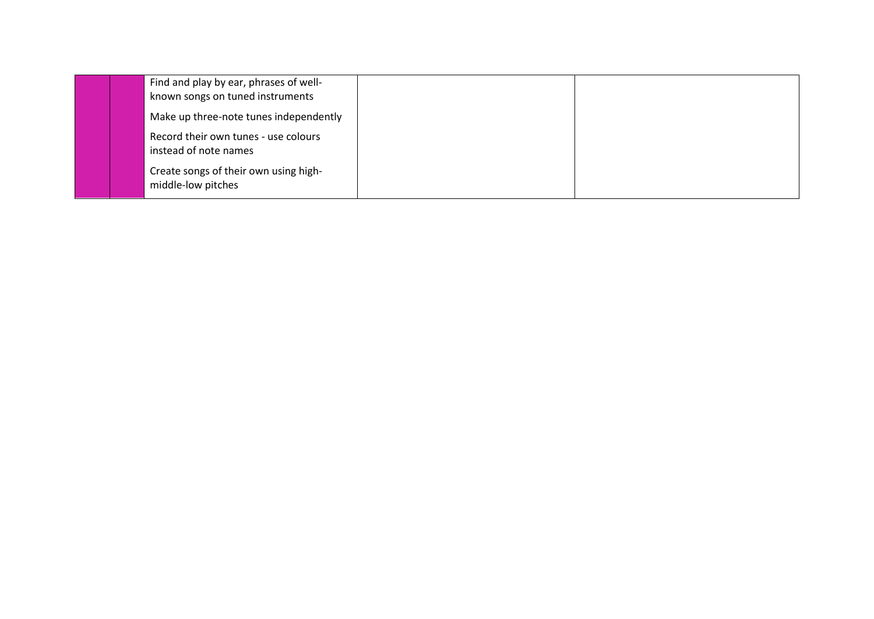|  | Find and play by ear, phrases of well-<br>known songs on tuned instruments |  |
|--|----------------------------------------------------------------------------|--|
|  | Make up three-note tunes independently                                     |  |
|  | Record their own tunes - use colours<br>instead of note names              |  |
|  | Create songs of their own using high-<br>middle-low pitches                |  |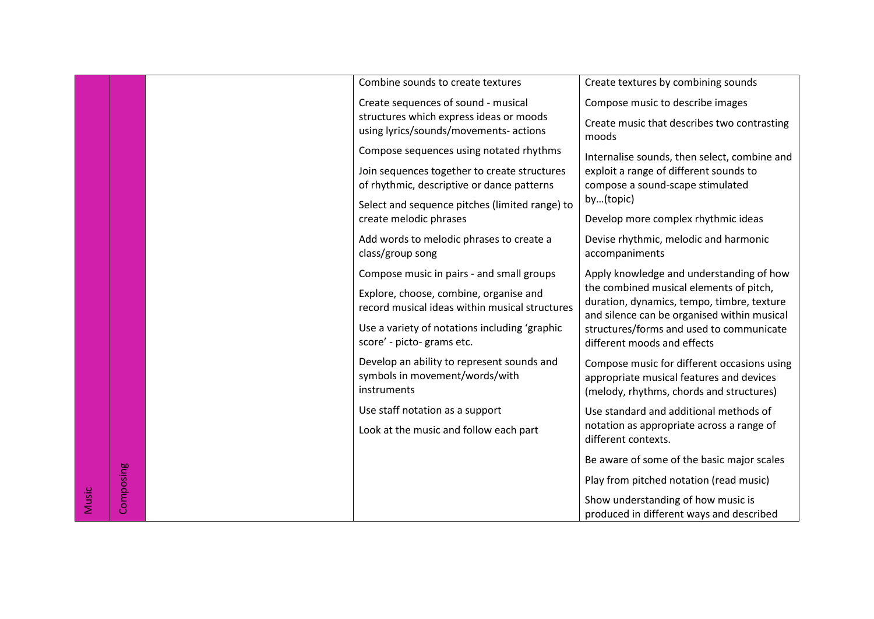|       |           | Combine sounds to create textures                                                           | Create textures by combining sounds                                                                                                  |
|-------|-----------|---------------------------------------------------------------------------------------------|--------------------------------------------------------------------------------------------------------------------------------------|
|       |           | Create sequences of sound - musical                                                         | Compose music to describe images                                                                                                     |
|       |           | structures which express ideas or moods<br>using lyrics/sounds/movements- actions           | Create music that describes two contrasting                                                                                          |
|       |           |                                                                                             | moods                                                                                                                                |
|       |           | Compose sequences using notated rhythms                                                     | Internalise sounds, then select, combine and                                                                                         |
|       |           | Join sequences together to create structures                                                | exploit a range of different sounds to                                                                                               |
|       |           | of rhythmic, descriptive or dance patterns                                                  | compose a sound-scape stimulated<br>by(topic)                                                                                        |
|       |           | Select and sequence pitches (limited range) to<br>create melodic phrases                    | Develop more complex rhythmic ideas                                                                                                  |
|       |           |                                                                                             |                                                                                                                                      |
|       |           | Add words to melodic phrases to create a<br>class/group song                                | Devise rhythmic, melodic and harmonic<br>accompaniments                                                                              |
|       |           | Compose music in pairs - and small groups                                                   | Apply knowledge and understanding of how                                                                                             |
|       |           | Explore, choose, combine, organise and<br>record musical ideas within musical structures    | the combined musical elements of pitch,<br>duration, dynamics, tempo, timbre, texture<br>and silence can be organised within musical |
|       |           | Use a variety of notations including 'graphic<br>score' - picto- grams etc.                 | structures/forms and used to communicate<br>different moods and effects                                                              |
|       |           | Develop an ability to represent sounds and<br>symbols in movement/words/with<br>instruments | Compose music for different occasions using<br>appropriate musical features and devices<br>(melody, rhythms, chords and structures)  |
|       |           | Use staff notation as a support                                                             | Use standard and additional methods of                                                                                               |
|       |           | Look at the music and follow each part                                                      | notation as appropriate across a range of<br>different contexts.                                                                     |
|       |           |                                                                                             | Be aware of some of the basic major scales                                                                                           |
|       |           |                                                                                             | Play from pitched notation (read music)                                                                                              |
| Music | Composing |                                                                                             | Show understanding of how music is<br>produced in different ways and described                                                       |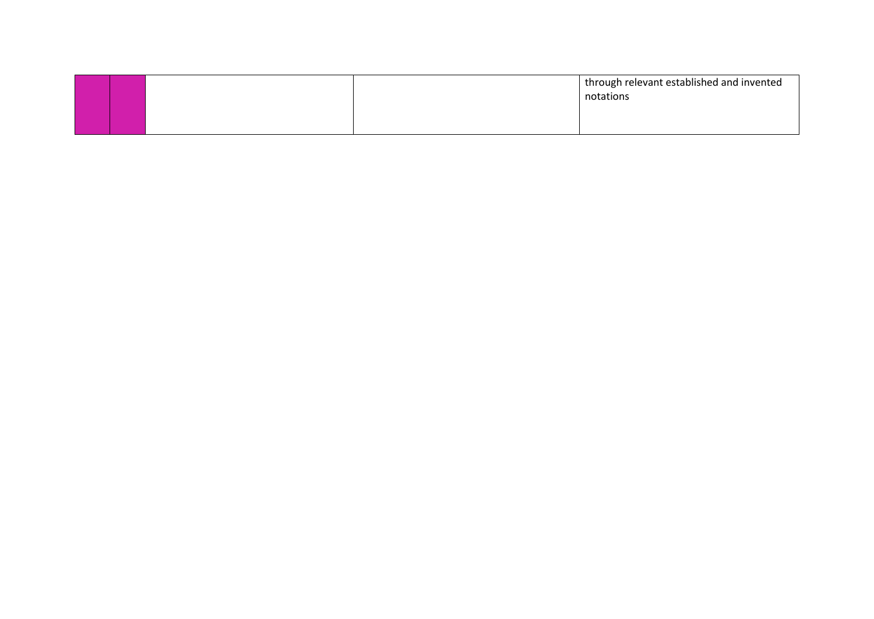|  | through relevant established and invented<br>notations |
|--|--------------------------------------------------------|
|  |                                                        |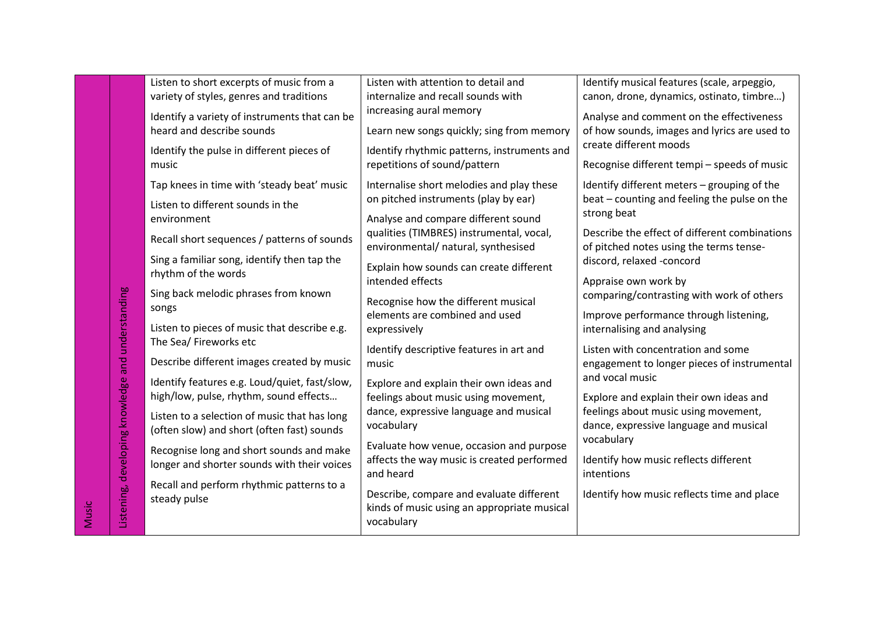| Identify musical features (scale, arpeggio,                                                                                                                              |                                                                                   | Listen with attention to detail and                                                                                                                       | Listen to short excerpts of music from a                                                                                                                                                                                                          |                                                   |       |
|--------------------------------------------------------------------------------------------------------------------------------------------------------------------------|-----------------------------------------------------------------------------------|-----------------------------------------------------------------------------------------------------------------------------------------------------------|---------------------------------------------------------------------------------------------------------------------------------------------------------------------------------------------------------------------------------------------------|---------------------------------------------------|-------|
| canon, drone, dynamics, ostinato, timbre)                                                                                                                                |                                                                                   | internalize and recall sounds with                                                                                                                        | variety of styles, genres and traditions                                                                                                                                                                                                          |                                                   |       |
| Analyse and comment on the effectiveness                                                                                                                                 |                                                                                   | increasing aural memory                                                                                                                                   | Identify a variety of instruments that can be                                                                                                                                                                                                     |                                                   |       |
| of how sounds, images and lyrics are used to                                                                                                                             | Learn new songs quickly; sing from memory                                         | heard and describe sounds                                                                                                                                 |                                                                                                                                                                                                                                                   |                                                   |       |
|                                                                                                                                                                          | create different moods                                                            |                                                                                                                                                           | Identify the pulse in different pieces of<br>music                                                                                                                                                                                                |                                                   |       |
|                                                                                                                                                                          |                                                                                   | Identify rhythmic patterns, instruments and                                                                                                               |                                                                                                                                                                                                                                                   |                                                   |       |
| Recognise different tempi - speeds of music                                                                                                                              |                                                                                   | repetitions of sound/pattern                                                                                                                              |                                                                                                                                                                                                                                                   |                                                   |       |
| Identify different meters - grouping of the                                                                                                                              |                                                                                   | Internalise short melodies and play these                                                                                                                 | Tap knees in time with 'steady beat' music                                                                                                                                                                                                        |                                                   |       |
| beat - counting and feeling the pulse on the                                                                                                                             |                                                                                   | on pitched instruments (play by ear)                                                                                                                      | Listen to different sounds in the                                                                                                                                                                                                                 |                                                   |       |
|                                                                                                                                                                          | strong beat                                                                       | Analyse and compare different sound                                                                                                                       | environment                                                                                                                                                                                                                                       |                                                   |       |
| Describe the effect of different combinations                                                                                                                            |                                                                                   | qualities (TIMBRES) instrumental, vocal,                                                                                                                  | Recall short sequences / patterns of sounds                                                                                                                                                                                                       |                                                   |       |
| of pitched notes using the terms tense-                                                                                                                                  |                                                                                   | environmental/ natural, synthesised                                                                                                                       |                                                                                                                                                                                                                                                   |                                                   |       |
| discord, relaxed -concord                                                                                                                                                | Explain how sounds can create different                                           | Sing a familiar song, identify then tap the                                                                                                               |                                                                                                                                                                                                                                                   |                                                   |       |
|                                                                                                                                                                          | Appraise own work by                                                              | intended effects                                                                                                                                          | rhythm of the words                                                                                                                                                                                                                               |                                                   |       |
| comparing/contrasting with work of others                                                                                                                                |                                                                                   | Recognise how the different musical                                                                                                                       | Sing back melodic phrases from known<br>songs<br>Listen to pieces of music that describe e.g.<br>The Sea/ Fireworks etc                                                                                                                           |                                                   |       |
| Improve performance through listening,                                                                                                                                   |                                                                                   | elements are combined and used                                                                                                                            |                                                                                                                                                                                                                                                   |                                                   |       |
|                                                                                                                                                                          | internalising and analysing                                                       | expressively                                                                                                                                              |                                                                                                                                                                                                                                                   |                                                   |       |
|                                                                                                                                                                          |                                                                                   |                                                                                                                                                           |                                                                                                                                                                                                                                                   |                                                   |       |
|                                                                                                                                                                          |                                                                                   | music                                                                                                                                                     |                                                                                                                                                                                                                                                   |                                                   |       |
|                                                                                                                                                                          |                                                                                   |                                                                                                                                                           |                                                                                                                                                                                                                                                   |                                                   |       |
|                                                                                                                                                                          | Explore and explain their own ideas and                                           |                                                                                                                                                           |                                                                                                                                                                                                                                                   |                                                   |       |
|                                                                                                                                                                          |                                                                                   | feelings about music using movement,                                                                                                                      |                                                                                                                                                                                                                                                   |                                                   |       |
|                                                                                                                                                                          |                                                                                   |                                                                                                                                                           | Listen to a selection of music that has long<br>(often slow) and short (often fast) sounds<br>Recognise long and short sounds and make                                                                                                            |                                                   |       |
|                                                                                                                                                                          |                                                                                   |                                                                                                                                                           |                                                                                                                                                                                                                                                   |                                                   |       |
|                                                                                                                                                                          |                                                                                   | Evaluate how venue, occasion and purpose                                                                                                                  |                                                                                                                                                                                                                                                   |                                                   |       |
|                                                                                                                                                                          | Identify how music reflects different                                             | affects the way music is created performed                                                                                                                |                                                                                                                                                                                                                                                   |                                                   |       |
|                                                                                                                                                                          |                                                                                   |                                                                                                                                                           |                                                                                                                                                                                                                                                   |                                                   |       |
| Identify how music reflects time and place                                                                                                                               |                                                                                   |                                                                                                                                                           |                                                                                                                                                                                                                                                   |                                                   |       |
|                                                                                                                                                                          |                                                                                   | kinds of music using an appropriate musical                                                                                                               |                                                                                                                                                                                                                                                   |                                                   |       |
|                                                                                                                                                                          |                                                                                   | vocabulary                                                                                                                                                |                                                                                                                                                                                                                                                   |                                                   |       |
| engagement to longer pieces of instrumental<br>Explore and explain their own ideas and<br>feelings about music using movement,<br>dance, expressive language and musical | Listen with concentration and some<br>and vocal music<br>vocabulary<br>intentions | Identify descriptive features in art and<br>dance, expressive language and musical<br>vocabulary<br>and heard<br>Describe, compare and evaluate different | Describe different images created by music<br>Identify features e.g. Loud/quiet, fast/slow,<br>high/low, pulse, rhythm, sound effects<br>longer and shorter sounds with their voices<br>Recall and perform rhythmic patterns to a<br>steady pulse | Listening, developing knowledge and understanding | Music |